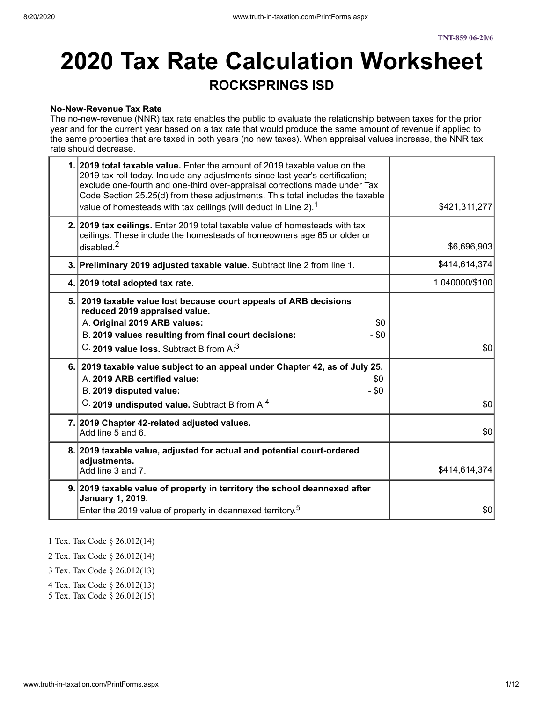#### **No-New-Revenue Tax Rate**

The no-new-revenue (NNR) tax rate enables the public to evaluate the relationship between taxes for the prior year and for the current year based on a tax rate that would produce the same amount of revenue if applied to the same properties that are taxed in both years (no new taxes). When appraisal values increase, the NNR tax rate should decrease.

| 1. 2019 total taxable value. Enter the amount of 2019 taxable value on the<br>2019 tax roll today. Include any adjustments since last year's certification;<br>exclude one-fourth and one-third over-appraisal corrections made under Tax<br>Code Section 25.25(d) from these adjustments. This total includes the taxable<br>value of homesteads with tax ceilings (will deduct in Line 2). <sup>1</sup> | \$421,311,277  |
|-----------------------------------------------------------------------------------------------------------------------------------------------------------------------------------------------------------------------------------------------------------------------------------------------------------------------------------------------------------------------------------------------------------|----------------|
| 2. 2019 tax ceilings. Enter 2019 total taxable value of homesteads with tax<br>ceilings. These include the homesteads of homeowners age 65 or older or<br>disabled. $2$                                                                                                                                                                                                                                   | \$6,696,903    |
| 3. Preliminary 2019 adjusted taxable value. Subtract line 2 from line 1.                                                                                                                                                                                                                                                                                                                                  | \$414,614,374  |
| 4. 2019 total adopted tax rate.                                                                                                                                                                                                                                                                                                                                                                           | 1.040000/\$100 |
| 5. 2019 taxable value lost because court appeals of ARB decisions<br>reduced 2019 appraised value.<br>A. Original 2019 ARB values:<br>\$0<br>B. 2019 values resulting from final court decisions:<br>- \$0<br>C. 2019 value loss. Subtract B from A: <sup>3</sup>                                                                                                                                         | \$0            |
| 6. 2019 taxable value subject to an appeal under Chapter 42, as of July 25.<br>A. 2019 ARB certified value:<br>\$0<br>B. 2019 disputed value:<br>$-$ \$0<br>C. 2019 undisputed value. Subtract B from A: <sup>4</sup>                                                                                                                                                                                     | \$0            |
| 7. 2019 Chapter 42-related adjusted values.<br>Add line 5 and 6.                                                                                                                                                                                                                                                                                                                                          | \$0            |
| 8. 2019 taxable value, adjusted for actual and potential court-ordered<br>adjustments.<br>Add line 3 and 7.                                                                                                                                                                                                                                                                                               | \$414,614,374  |
| 9. 2019 taxable value of property in territory the school deannexed after<br><b>January 1, 2019.</b><br>Enter the 2019 value of property in deannexed territory. <sup>5</sup>                                                                                                                                                                                                                             | \$0            |

1 Tex. Tax Code § 26.012(14)

2 Tex. Tax Code § 26.012(14)

3 Tex. Tax Code § 26.012(13)

- 4 Tex. Tax Code § 26.012(13)
- 5 Tex. Tax Code § 26.012(15)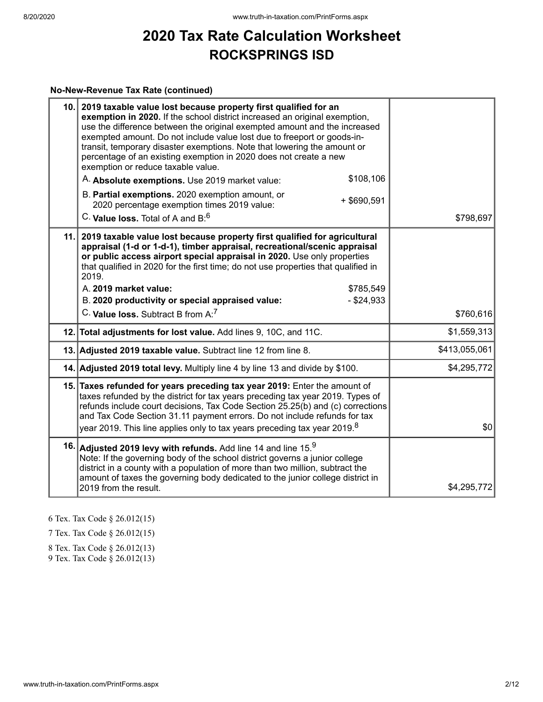#### **No-New-Revenue Tax Rate (continued)**

| 2019 taxable value lost because property first qualified for an<br>exemption in 2020. If the school district increased an original exemption,<br>use the difference between the original exempted amount and the increased<br>exempted amount. Do not include value lost due to freeport or goods-in-<br>transit, temporary disaster exemptions. Note that lowering the amount or<br>percentage of an existing exemption in 2020 does not create a new<br>exemption or reduce taxable value. |                                                                                                                                                                                                                                                                                                                                                                                    |
|----------------------------------------------------------------------------------------------------------------------------------------------------------------------------------------------------------------------------------------------------------------------------------------------------------------------------------------------------------------------------------------------------------------------------------------------------------------------------------------------|------------------------------------------------------------------------------------------------------------------------------------------------------------------------------------------------------------------------------------------------------------------------------------------------------------------------------------------------------------------------------------|
| \$108,106<br>A. Absolute exemptions. Use 2019 market value:                                                                                                                                                                                                                                                                                                                                                                                                                                  |                                                                                                                                                                                                                                                                                                                                                                                    |
| B. Partial exemptions. 2020 exemption amount, or<br>$+$ \$690,591<br>2020 percentage exemption times 2019 value:                                                                                                                                                                                                                                                                                                                                                                             |                                                                                                                                                                                                                                                                                                                                                                                    |
| C. Value loss. Total of A and B: <sup>6</sup>                                                                                                                                                                                                                                                                                                                                                                                                                                                | \$798,697                                                                                                                                                                                                                                                                                                                                                                          |
| 2019 taxable value lost because property first qualified for agricultural<br>appraisal (1-d or 1-d-1), timber appraisal, recreational/scenic appraisal<br>or public access airport special appraisal in 2020. Use only properties<br>that qualified in 2020 for the first time; do not use properties that qualified in<br>2019.<br>A. 2019 market value:<br>\$785,549<br>B. 2020 productivity or special appraised value:<br>$-$ \$24,933                                                   |                                                                                                                                                                                                                                                                                                                                                                                    |
| C. Value loss, Subtract B from A: <sup>7</sup>                                                                                                                                                                                                                                                                                                                                                                                                                                               | \$760,616                                                                                                                                                                                                                                                                                                                                                                          |
|                                                                                                                                                                                                                                                                                                                                                                                                                                                                                              | \$1,559,313                                                                                                                                                                                                                                                                                                                                                                        |
|                                                                                                                                                                                                                                                                                                                                                                                                                                                                                              | \$413,055,061                                                                                                                                                                                                                                                                                                                                                                      |
|                                                                                                                                                                                                                                                                                                                                                                                                                                                                                              | \$4,295,772                                                                                                                                                                                                                                                                                                                                                                        |
| taxes refunded by the district for tax years preceding tax year 2019. Types of<br>refunds include court decisions, Tax Code Section 25.25(b) and (c) corrections<br>and Tax Code Section 31.11 payment errors. Do not include refunds for tax<br>year 2019. This line applies only to tax years preceding tax year 2019. $^8$                                                                                                                                                                | \$0                                                                                                                                                                                                                                                                                                                                                                                |
| Note: If the governing body of the school district governs a junior college<br>district in a county with a population of more than two million, subtract the<br>amount of taxes the governing body dedicated to the junior college district in<br>2019 from the result.                                                                                                                                                                                                                      | \$4,295,772                                                                                                                                                                                                                                                                                                                                                                        |
|                                                                                                                                                                                                                                                                                                                                                                                                                                                                                              | 10.<br>11.<br>12. Total adjustments for lost value. Add lines 9, 10C, and 11C.<br>13. Adjusted 2019 taxable value. Subtract line 12 from line 8.<br>14. Adjusted 2019 total levy. Multiply line 4 by line 13 and divide by \$100.<br>15. Taxes refunded for years preceding tax year 2019: Enter the amount of<br>16. Adjusted 2019 levy with refunds. Add line 14 and line $15.9$ |

6 Tex. Tax Code § 26.012(15)

7 Tex. Tax Code § 26.012(15)

8 Tex. Tax Code § 26.012(13) 9 Tex. Tax Code § 26.012(13)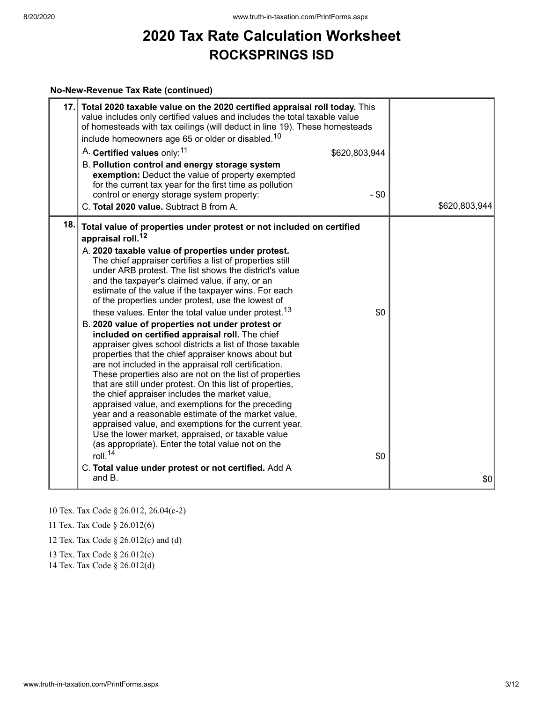#### **No-New-Revenue Tax Rate (continued)**

| 17. | Total 2020 taxable value on the 2020 certified appraisal roll today. This<br>value includes only certified values and includes the total taxable value<br>of homesteads with tax ceilings (will deduct in line 19). These homesteads<br>include homeowners age 65 or older or disabled. <sup>10</sup><br>A. Certified values only: <sup>11</sup><br>\$620,803,944<br>B. Pollution control and energy storage system<br>exemption: Deduct the value of property exempted<br>for the current tax year for the first time as pollution<br>$-$ \$0<br>control or energy storage system property:<br>C. Total 2020 value. Subtract B from A.                                                                                                                                                                                                                                                                                                                                                                                                                                                                                                                                                                                                                                                                                                                 | \$620,803,944 |
|-----|---------------------------------------------------------------------------------------------------------------------------------------------------------------------------------------------------------------------------------------------------------------------------------------------------------------------------------------------------------------------------------------------------------------------------------------------------------------------------------------------------------------------------------------------------------------------------------------------------------------------------------------------------------------------------------------------------------------------------------------------------------------------------------------------------------------------------------------------------------------------------------------------------------------------------------------------------------------------------------------------------------------------------------------------------------------------------------------------------------------------------------------------------------------------------------------------------------------------------------------------------------------------------------------------------------------------------------------------------------|---------------|
| 18. | Total value of properties under protest or not included on certified<br>appraisal roll. <sup>12</sup><br>A. 2020 taxable value of properties under protest.<br>The chief appraiser certifies a list of properties still<br>under ARB protest. The list shows the district's value<br>and the taxpayer's claimed value, if any, or an<br>estimate of the value if the taxpayer wins. For each<br>of the properties under protest, use the lowest of<br>these values. Enter the total value under protest. <sup>13</sup><br>\$0<br>B. 2020 value of properties not under protest or<br>included on certified appraisal roll. The chief<br>appraiser gives school districts a list of those taxable<br>properties that the chief appraiser knows about but<br>are not included in the appraisal roll certification.<br>These properties also are not on the list of properties<br>that are still under protest. On this list of properties,<br>the chief appraiser includes the market value,<br>appraised value, and exemptions for the preceding<br>year and a reasonable estimate of the market value,<br>appraised value, and exemptions for the current year.<br>Use the lower market, appraised, or taxable value<br>(as appropriate). Enter the total value not on the<br>roll. $14$<br>\$0<br>C. Total value under protest or not certified. Add A |               |
|     | and B.                                                                                                                                                                                                                                                                                                                                                                                                                                                                                                                                                                                                                                                                                                                                                                                                                                                                                                                                                                                                                                                                                                                                                                                                                                                                                                                                                  | \$0           |

10 Tex. Tax Code § 26.012, 26.04(c-2)

11 Tex. Tax Code § 26.012(6)

12 Tex. Tax Code § 26.012(c) and (d)

13 Tex. Tax Code § 26.012(c)

14 Tex. Tax Code § 26.012(d)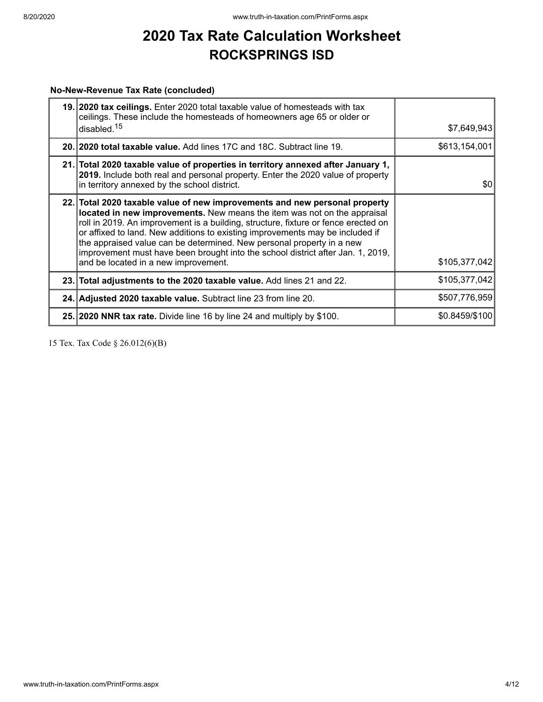#### **No-New-Revenue Tax Rate (concluded)**

| 19. 2020 tax ceilings. Enter 2020 total taxable value of homesteads with tax<br>ceilings. These include the homesteads of homeowners age 65 or older or<br>disabled. <sup>15</sup>                                                                                                                                                                                                                                                                                                                                                | \$7,649,943    |
|-----------------------------------------------------------------------------------------------------------------------------------------------------------------------------------------------------------------------------------------------------------------------------------------------------------------------------------------------------------------------------------------------------------------------------------------------------------------------------------------------------------------------------------|----------------|
| 20. 2020 total taxable value. Add lines 17C and 18C. Subtract line 19.                                                                                                                                                                                                                                                                                                                                                                                                                                                            | \$613,154,001  |
| 21. Total 2020 taxable value of properties in territory annexed after January 1,<br>2019. Include both real and personal property. Enter the 2020 value of property<br>in territory annexed by the school district.                                                                                                                                                                                                                                                                                                               | \$0            |
| 22. Total 2020 taxable value of new improvements and new personal property<br>located in new improvements. New means the item was not on the appraisal<br>roll in 2019. An improvement is a building, structure, fixture or fence erected on<br>or affixed to land. New additions to existing improvements may be included if<br>the appraised value can be determined. New personal property in a new<br>improvement must have been brought into the school district after Jan. 1, 2019,<br>and be located in a new improvement. | \$105,377,042  |
| 23. Total adjustments to the 2020 taxable value. Add lines 21 and 22.                                                                                                                                                                                                                                                                                                                                                                                                                                                             | \$105,377,042  |
| 24. Adjusted 2020 taxable value. Subtract line 23 from line 20.                                                                                                                                                                                                                                                                                                                                                                                                                                                                   | \$507,776,959  |
| 25. 2020 NNR tax rate. Divide line 16 by line 24 and multiply by \$100.                                                                                                                                                                                                                                                                                                                                                                                                                                                           | \$0.8459/\$100 |

15 Tex. Tax Code § 26.012(6)(B)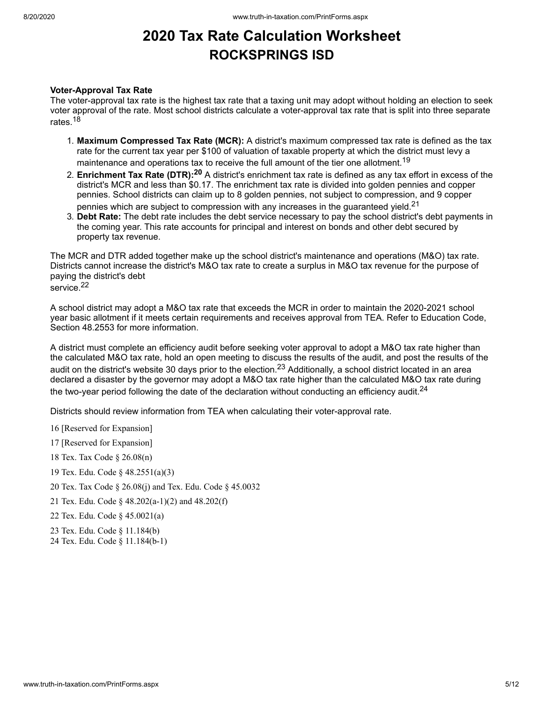#### **Voter-Approval Tax Rate**

The voter-approval tax rate is the highest tax rate that a taxing unit may adopt without holding an election to seek voter approval of the rate. Most school districts calculate a voter-approval tax rate that is split into three separate rates.<sup>18</sup>

- 1. **Maximum Compressed Tax Rate (MCR):** A district's maximum compressed tax rate is defined as the tax rate for the current tax year per \$100 of valuation of taxable property at which the district must levy a maintenance and operations tax to receive the full amount of the tier one allotment. $^{\mathsf{19}}$
- 2. **Enrichment Tax Rate (DTR): <sup>20</sup>** A district's enrichment tax rate is defined as any tax effort in excess of the district's MCR and less than \$0.17. The enrichment tax rate is divided into golden pennies and copper pennies. School districts can claim up to 8 golden pennies, not subject to compression, and 9 copper pennies which are subject to compression with any increases in the guaranteed yield. $^{21}$
- 3. **Debt Rate:** The debt rate includes the debt service necessary to pay the school district's debt payments in the coming year. This rate accounts for principal and interest on bonds and other debt secured by property tax revenue.

The MCR and DTR added together make up the school district's maintenance and operations (M&O) tax rate. Districts cannot increase the district's M&O tax rate to create a surplus in M&O tax revenue for the purpose of paying the district's debt service. 22

A school district may adopt a M&O tax rate that exceeds the MCR in order to maintain the 2020-2021 school year basic allotment if it meets certain requirements and receives approval from TEA. Refer to Education Code, Section 48.2553 for more information.

A district must complete an efficiency audit before seeking voter approval to adopt a M&O tax rate higher than the calculated M&O tax rate, hold an open meeting to discuss the results of the audit, and post the results of the audit on the district's website 30 days prior to the election.<sup>23</sup> Additionally, a school district located in an area declared a disaster by the governor may adopt a M&O tax rate higher than the calculated M&O tax rate during the two-year period following the date of the declaration without conducting an efficiency audit. $^\mathrm{24}$ 

Districts should review information from TEA when calculating their voter-approval rate.

- 16 [Reserved for Expansion]
- 17 [Reserved for Expansion]
- 18 Tex. Tax Code § 26.08(n)
- 19 Tex. Edu. Code § 48.2551(a)(3)
- 20 Tex. Tax Code § 26.08(j) and Tex. Edu. Code § 45.0032
- 21 Tex. Edu. Code § 48.202(a-1)(2) and 48.202(f)
- 22 Tex. Edu. Code § 45.0021(a)
- 23 Tex. Edu. Code § 11.184(b)
- 24 Tex. Edu. Code § 11.184(b-1)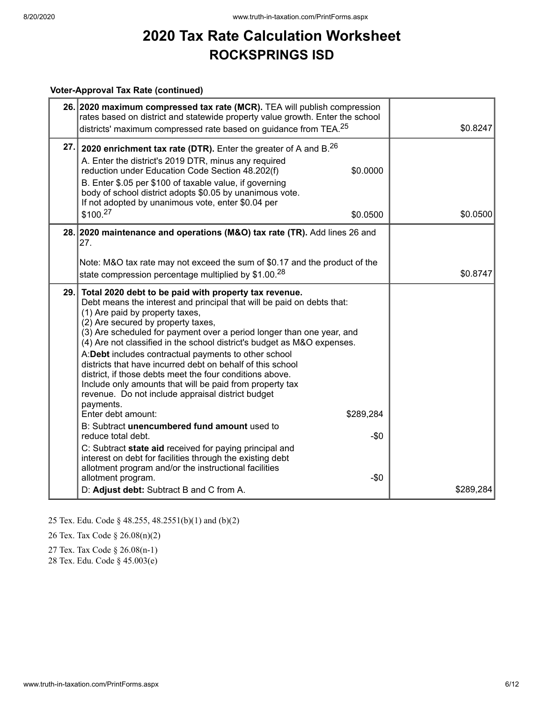#### **Voter-Approval Tax Rate (continued)**

|     | 26. 2020 maximum compressed tax rate (MCR). TEA will publish compression<br>rates based on district and statewide property value growth. Enter the school<br>districts' maximum compressed rate based on guidance from TEA. <sup>25</sup>                                                                                                                                                                                                                                                                                                                                                                                                                                                                                                                                                                                                                                                                                                                                                                                                                       | \$0.8247  |
|-----|-----------------------------------------------------------------------------------------------------------------------------------------------------------------------------------------------------------------------------------------------------------------------------------------------------------------------------------------------------------------------------------------------------------------------------------------------------------------------------------------------------------------------------------------------------------------------------------------------------------------------------------------------------------------------------------------------------------------------------------------------------------------------------------------------------------------------------------------------------------------------------------------------------------------------------------------------------------------------------------------------------------------------------------------------------------------|-----------|
| 27. | 2020 enrichment tax rate (DTR). Enter the greater of A and $B^{26}$<br>A. Enter the district's 2019 DTR, minus any required<br>reduction under Education Code Section 48.202(f)<br>\$0.0000<br>B. Enter \$.05 per \$100 of taxable value, if governing<br>body of school district adopts \$0.05 by unanimous vote.<br>If not adopted by unanimous vote, enter \$0.04 per<br>\$100. <sup>27</sup><br>\$0.0500                                                                                                                                                                                                                                                                                                                                                                                                                                                                                                                                                                                                                                                    | \$0.0500  |
|     | 28. 2020 maintenance and operations (M&O) tax rate (TR). Add lines 26 and<br>27.                                                                                                                                                                                                                                                                                                                                                                                                                                                                                                                                                                                                                                                                                                                                                                                                                                                                                                                                                                                |           |
|     | Note: M&O tax rate may not exceed the sum of \$0.17 and the product of the<br>state compression percentage multiplied by $$1.00.28$                                                                                                                                                                                                                                                                                                                                                                                                                                                                                                                                                                                                                                                                                                                                                                                                                                                                                                                             | \$0.8747  |
|     | 29. Total 2020 debt to be paid with property tax revenue.<br>Debt means the interest and principal that will be paid on debts that:<br>(1) Are paid by property taxes,<br>(2) Are secured by property taxes,<br>(3) Are scheduled for payment over a period longer than one year, and<br>(4) Are not classified in the school district's budget as M&O expenses.<br>A:Debt includes contractual payments to other school<br>districts that have incurred debt on behalf of this school<br>district, if those debts meet the four conditions above.<br>Include only amounts that will be paid from property tax<br>revenue. Do not include appraisal district budget<br>payments.<br>Enter debt amount:<br>\$289,284<br>B: Subtract unencumbered fund amount used to<br>$-\$0$<br>reduce total debt.<br>C: Subtract state aid received for paying principal and<br>interest on debt for facilities through the existing debt<br>allotment program and/or the instructional facilities<br>allotment program.<br>$-$0$<br>D: Adjust debt: Subtract B and C from A. | \$289,284 |

25 Tex. Edu. Code § 48.255, 48.2551(b)(1) and (b)(2)

26 Tex. Tax Code § 26.08(n)(2)

27 Tex. Tax Code § 26.08(n-1)

28 Tex. Edu. Code § 45.003(e)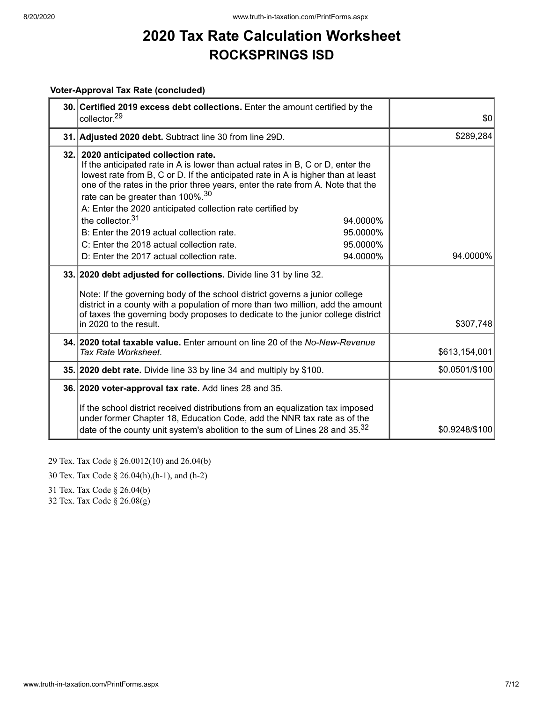#### **Voter-Approval Tax Rate (concluded)**

| 30. Certified 2019 excess debt collections. Enter the amount certified by the<br>collector. <sup>29</sup>                                                                                                                                                                                                                                                                                                                                                                                                 | \$0            |
|-----------------------------------------------------------------------------------------------------------------------------------------------------------------------------------------------------------------------------------------------------------------------------------------------------------------------------------------------------------------------------------------------------------------------------------------------------------------------------------------------------------|----------------|
| 31. Adjusted 2020 debt. Subtract line 30 from line 29D.                                                                                                                                                                                                                                                                                                                                                                                                                                                   | \$289,284      |
| 32. 2020 anticipated collection rate.<br>If the anticipated rate in A is lower than actual rates in B, C or D, enter the<br>lowest rate from B, C or D. If the anticipated rate in A is higher than at least<br>one of the rates in the prior three years, enter the rate from A. Note that the<br>rate can be greater than 100%. <sup>30</sup><br>A: Enter the 2020 anticipated collection rate certified by<br>the collector. $31$<br>94.0000%<br>B: Enter the 2019 actual collection rate.<br>95.0000% |                |
| C: Enter the 2018 actual collection rate.<br>95.0000%                                                                                                                                                                                                                                                                                                                                                                                                                                                     |                |
| D: Enter the 2017 actual collection rate.<br>94.0000%                                                                                                                                                                                                                                                                                                                                                                                                                                                     | 94.0000%       |
| 33. 2020 debt adjusted for collections. Divide line 31 by line 32.<br>Note: If the governing body of the school district governs a junior college<br>district in a county with a population of more than two million, add the amount<br>of taxes the governing body proposes to dedicate to the junior college district<br>in 2020 to the result.                                                                                                                                                         | \$307,748      |
| 34. 2020 total taxable value. Enter amount on line 20 of the No-New-Revenue<br>Tax Rate Worksheet.                                                                                                                                                                                                                                                                                                                                                                                                        | \$613,154,001  |
| 35. 2020 debt rate. Divide line 33 by line 34 and multiply by \$100.                                                                                                                                                                                                                                                                                                                                                                                                                                      | \$0.0501/\$100 |
| 36. 2020 voter-approval tax rate. Add lines 28 and 35.<br>If the school district received distributions from an equalization tax imposed<br>under former Chapter 18, Education Code, add the NNR tax rate as of the<br>date of the county unit system's abolition to the sum of Lines 28 and 35. <sup>32</sup>                                                                                                                                                                                            | \$0.9248/\$100 |

29 Tex. Tax Code § 26.0012(10) and 26.04(b)

30 Tex. Tax Code § 26.04(h),(h-1), and (h-2)

31 Tex. Tax Code § 26.04(b)

32 Tex. Tax Code § 26.08(g)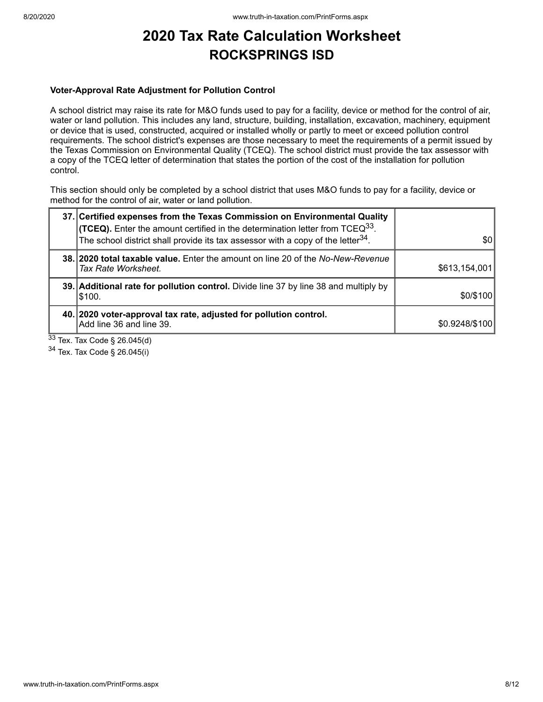#### **Voter-Approval Rate Adjustment for Pollution Control**

A school district may raise its rate for M&O funds used to pay for a facility, device or method for the control of air, water or land pollution. This includes any land, structure, building, installation, excavation, machinery, equipment or device that is used, constructed, acquired or installed wholly or partly to meet or exceed pollution control requirements. The school district's expenses are those necessary to meet the requirements of a permit issued by the Texas Commission on Environmental Quality (TCEQ). The school district must provide the tax assessor with a copy of the TCEQ letter of determination that states the portion of the cost of the installation for pollution control.

This section should only be completed by a school district that uses M&O funds to pay for a facility, device or method for the control of air, water or land pollution.

|        | 37. Certified expenses from the Texas Commission on Environmental Quality<br><b>(TCEQ).</b> Enter the amount certified in the determination letter from TCEQ <sup>33</sup> .<br>The school district shall provide its tax assessor with a copy of the letter <sup>34</sup> . | \$0            |
|--------|------------------------------------------------------------------------------------------------------------------------------------------------------------------------------------------------------------------------------------------------------------------------------|----------------|
|        | 38. 2020 total taxable value. Enter the amount on line 20 of the No-New-Revenue<br>Tax Rate Worksheet.                                                                                                                                                                       | \$613,154,001  |
|        | 39. Additional rate for pollution control. Divide line 37 by line 38 and multiply by<br>\$100.                                                                                                                                                                               | \$0/\$100      |
| $\sim$ | 40. 2020 voter-approval tax rate, adjusted for pollution control.<br>Add line 36 and line 39.                                                                                                                                                                                | \$0.9248/\$100 |

 $33$  Tex. Tax Code § 26.045(d)

<sup>34</sup> Tex. Tax Code § 26.045(i)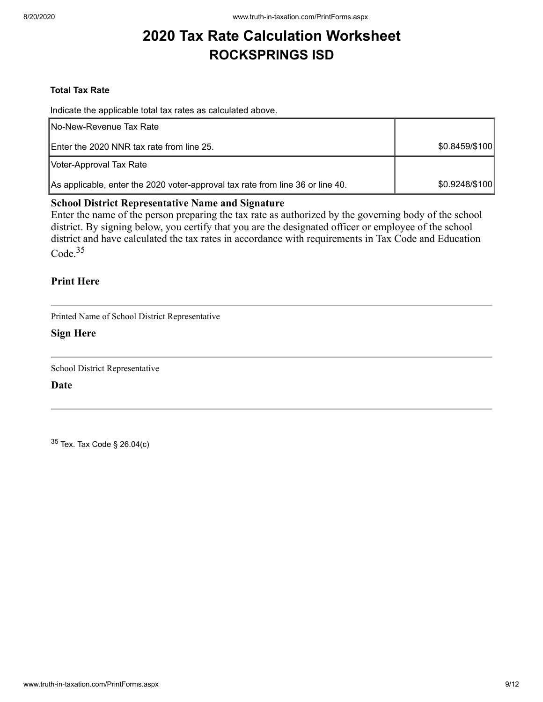#### **Total Tax Rate**

Indicate the applicable total tax rates as calculated above.

| <b>INo-New-Revenue Tax Rate</b>                                                |                |
|--------------------------------------------------------------------------------|----------------|
| Enter the 2020 NNR tax rate from line 25.                                      | \$0.8459/\$100 |
| Voter-Approval Tax Rate                                                        |                |
| As applicable, enter the 2020 voter-approval tax rate from line 36 or line 40. | \$0.9248/\$100 |

#### **School District Representative Name and Signature**

Enter the name of the person preparing the tax rate as authorized by the governing body of the school district. By signing below, you certify that you are the designated officer or employee of the school district and have calculated the tax rates in accordance with requirements in Tax Code and Education Code.<sup>35</sup>

#### **Print Here**

Printed Name of School District Representative

#### **Sign Here**

School District Representative

**Date**

 $35$  Tex. Tax Code § 26.04(c)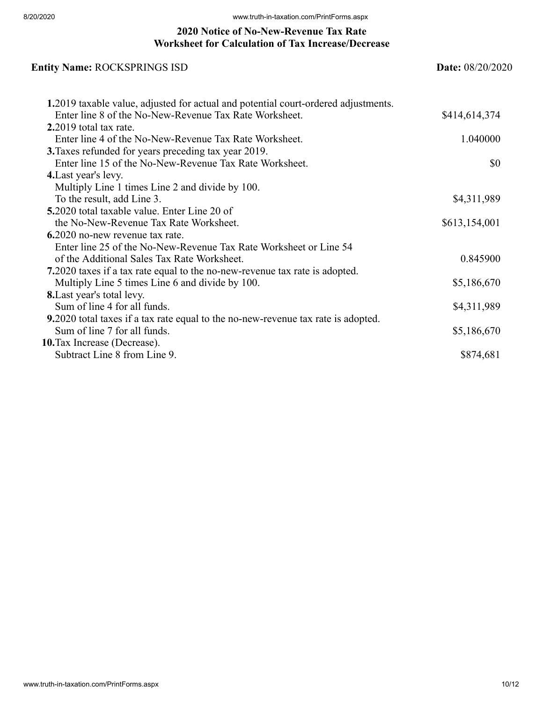### **2020 Notice of No-New-Revenue Tax Rate Worksheet for Calculation of Tax Increase/Decrease**

### **Entity Name:** ROCKSPRINGS ISD **Date:** 08/20/2020 **1.**2019 taxable value, adjusted for actual and potential court-ordered adjustments. Enter line 8 of the No-New-Revenue Tax Rate Worksheet.  $$414,614,374$ **2.**2019 total tax rate. Enter line 4 of the No-New-Revenue Tax Rate Worksheet. 1.040000 **3.**Taxes refunded for years preceding tax year 2019. Enter line 15 of the No-New-Revenue Tax Rate Worksheet.  $\$\theta$ **4.**Last year's levy. Multiply Line 1 times Line 2 and divide by 100. To the result, add Line 3. \$4,311,989 **5.**2020 total taxable value. Enter Line 20 of the No-New-Revenue Tax Rate Worksheet.  $$613,154,001$ **6.**2020 no-new revenue tax rate. Enter line 25 of the No-New-Revenue Tax Rate Worksheet or Line 54 of the Additional Sales Tax Rate Worksheet. 0.845900 **7.**2020 taxes if a tax rate equal to the no-new-revenue tax rate is adopted. Multiply Line 5 times Line 6 and divide by 100. \$5,186,670 **8.**Last year's total levy. Sum of line 4 for all funds.  $$4,311,989$ **9.**2020 total taxes if a tax rate equal to the no-new-revenue tax rate is adopted. Sum of line 7 for all funds.  $$5,186,670$ **10.**Tax Increase (Decrease). Subtract Line 8 from Line 9.  $$874,681$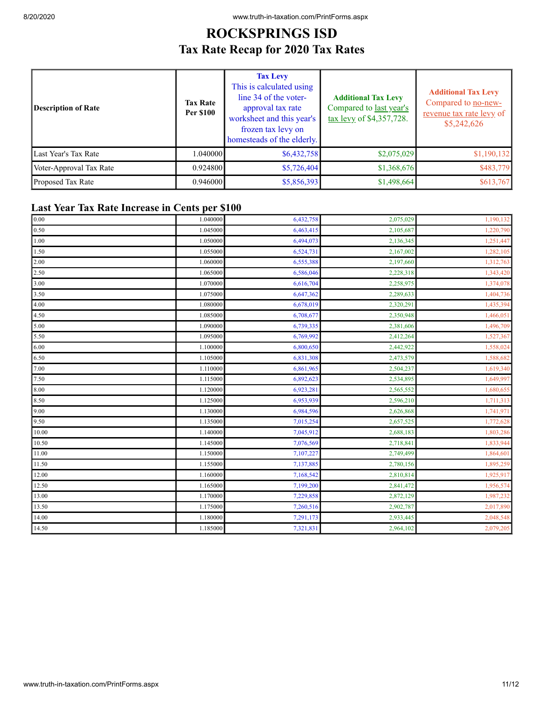### **ROCKSPRINGS ISD Tax Rate Recap for 2020 Tax Rates**

| Description of Rate     | <b>Tax Rate</b><br><b>Per \$100</b> | <b>Tax Levy</b><br>This is calculated using<br>line 34 of the voter-<br>approval tax rate<br>worksheet and this year's<br>frozen tax levy on<br>homesteads of the elderly. | <b>Additional Tax Levy</b><br>Compared to last year's<br>tax levy of \$4,357,728. | <b>Additional Tax Levy</b><br>Compared to no-new-<br>revenue tax rate levy of<br>\$5,242,626 |
|-------------------------|-------------------------------------|----------------------------------------------------------------------------------------------------------------------------------------------------------------------------|-----------------------------------------------------------------------------------|----------------------------------------------------------------------------------------------|
| Last Year's Tax Rate    | 1.040000                            | \$6,432,758                                                                                                                                                                | \$2,075,029                                                                       | \$1,190,132                                                                                  |
| Voter-Approval Tax Rate | 0.924800                            | \$5,726,404                                                                                                                                                                | \$1,368,676                                                                       | \$483,779                                                                                    |
| Proposed Tax Rate       | 0.946000                            | \$5,856,393                                                                                                                                                                | \$1,498,664                                                                       | \$613,767                                                                                    |

### **Last Year Tax Rate Increase in Cents per \$100**

| 0.00         | 1.040000 | 6,432,758 | 2,075,029 | 1,190,132 |
|--------------|----------|-----------|-----------|-----------|
| 0.50         | 1.045000 | 6,463,415 | 2,105,687 | 1,220,790 |
| 1.00         | 1.050000 | 6,494,073 | 2,136,345 | 1,251,447 |
| 1.50         | 1.055000 | 6,524,731 | 2,167,002 | 1,282,105 |
| 2.00         | 1.060000 | 6,555,388 | 2,197,660 | 1,312,763 |
| 2.50         | 1.065000 | 6,586,046 | 2,228,318 | 1,343,420 |
| 3.00         | 1.070000 | 6,616,704 | 2,258,975 | 1,374,078 |
| 3.50         | 1.075000 | 6,647,362 | 2,289,633 | 1,404,736 |
| 4.00         | 1.080000 | 6,678,019 | 2,320,291 | 1,435,394 |
| 4.50         | 1.085000 | 6,708,677 | 2,350,948 | 1,466,051 |
| 5.00         | 1.090000 | 6,739,335 | 2,381,606 | 1,496,709 |
| 5.50         | 1.095000 | 6,769,992 | 2,412,264 | 1,527,367 |
| 6.00         | 1.100000 | 6,800,650 | 2,442,922 | 1,558,024 |
| 6.50         | 1.105000 | 6,831,308 | 2,473,579 | 1,588,682 |
| 7.00         | 1.110000 | 6,861,965 | 2,504,237 | 1,619,340 |
| 7.50         | 1.115000 | 6,892,623 | 2,534,895 | 1,649,997 |
| 8.00         | 1.120000 | 6,923,281 | 2,565,552 | 1,680,655 |
| 8.50         | 1.125000 | 6,953,939 | 2,596,210 | 1,711,313 |
| $\vert$ 9.00 | 1.130000 | 6,984,596 | 2,626,868 | 1,741,971 |
| 9.50         | 1.135000 | 7,015,254 | 2,657,525 | 1,772,628 |
| 10.00        | 1.140000 | 7,045,912 | 2,688,183 | 1,803,286 |
| 10.50        | 1.145000 | 7,076,569 | 2,718,841 | 1,833,944 |
| 11.00        | 1.150000 | 7,107,227 | 2,749,499 | 1,864,601 |
| 11.50        | 1.155000 | 7,137,885 | 2,780,156 | 1,895,259 |
| 12.00        | 1.160000 | 7,168,542 | 2,810,814 | 1,925,917 |
| 12.50        | 1.165000 | 7,199,200 | 2,841,472 | 1,956,574 |
| 13.00        | 1.170000 | 7,229,858 | 2,872,129 | 1,987,232 |
| 13.50        | 1.175000 | 7,260,516 | 2,902,787 | 2,017,890 |
| 14.00        | 1.180000 | 7,291,173 | 2,933,445 | 2,048,548 |
| 14.50        | 1.185000 | 7,321,831 | 2,964,102 | 2,079,205 |